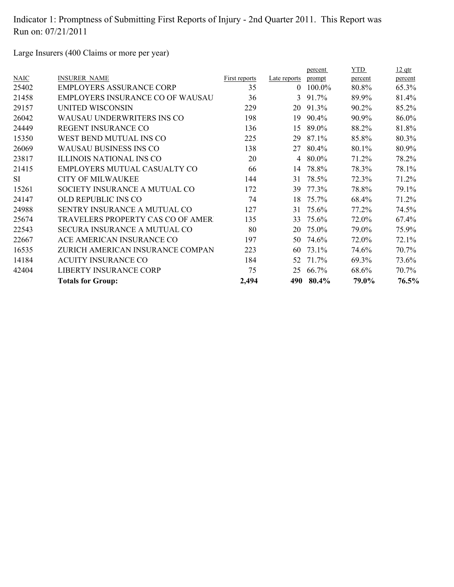Large Insurers (400 Claims or more per year)

|             | <b>Totals for Group:</b>                | 2,494         | 490          | 80.4%   | 79.0%   | 76.5%    |
|-------------|-----------------------------------------|---------------|--------------|---------|---------|----------|
| 42404       | LIBERTY INSURANCE CORP                  | 75            | 25           | 66.7%   | 68.6%   | 70.7%    |
| 14184       | <b>ACUITY INSURANCE CO</b>              | 184           | 52           | 71.7%   | 69.3%   | 73.6%    |
| 16535       | ZURICH AMERICAN INSURANCE COMPAN        | 223           | 60           | 73.1%   | 74.6%   | 70.7%    |
| 22667       | ACE AMERICAN INSURANCE CO               | 197           | 50           | 74.6%   | 72.0%   | 72.1%    |
| 22543       | SECURA INSURANCE A MUTUAL CO            | 80            | 20           | 75.0%   | 79.0%   | 75.9%    |
| 25674       | TRAVELERS PROPERTY CAS CO OF AMERT      | 135           | 33           | 75.6%   | 72.0%   | 67.4%    |
| 24988       | <b>SENTRY INSURANCE A MUTUAL CO</b>     | 127           | 31           | 75.6%   | 77.2%   | 74.5%    |
| 24147       | <b>OLD REPUBLIC INS CO</b>              | 74            | 18           | 75.7%   | 68.4%   | 71.2%    |
| 15261       | SOCIETY INSURANCE A MUTUAL CO           | 172           | 39           | 77.3%   | 78.8%   | 79.1%    |
| <b>SI</b>   | <b>CITY OF MILWAUKEE</b>                | 144           | 31           | 78.5%   | 72.3%   | 71.2%    |
| 21415       | EMPLOYERS MUTUAL CASUALTY CO            | 66            | 14           | 78.8%   | 78.3%   | 78.1%    |
| 23817       | ILLINOIS NATIONAL INS CO                | 20            | 4            | 80.0%   | 71.2%   | 78.2%    |
| 26069       | <b>WAUSAU BUSINESS INS CO</b>           | 138           | 27           | 80.4%   | 80.1%   | 80.9%    |
| 15350       | WEST BEND MUTUAL INS CO                 | 225           | 29           | 87.1%   | 85.8%   | 80.3%    |
| 24449       | <b>REGENT INSURANCE CO</b>              | 136           | 15           | 89.0%   | 88.2%   | 81.8%    |
| 26042       | WAUSAU UNDERWRITERS INS CO              | 198           | 19           | 90.4%   | 90.9%   | 86.0%    |
| 29157       | UNITED WISCONSIN                        | 229           | 20           | 91.3%   | 90.2%   | 85.2%    |
| 21458       | <b>EMPLOYERS INSURANCE CO OF WAUSAU</b> | 36            | 3            | 91.7%   | 89.9%   | 81.4%    |
| 25402       | <b>EMPLOYERS ASSURANCE CORP</b>         | 35            | $\theta$     | 100.0%  | 80.8%   | 65.3%    |
| <b>NAIC</b> | <b>INSURER NAME</b>                     | First reports | Late reports | prompt  | percent | percent  |
|             |                                         |               |              | percent | YTD     | $12$ qtr |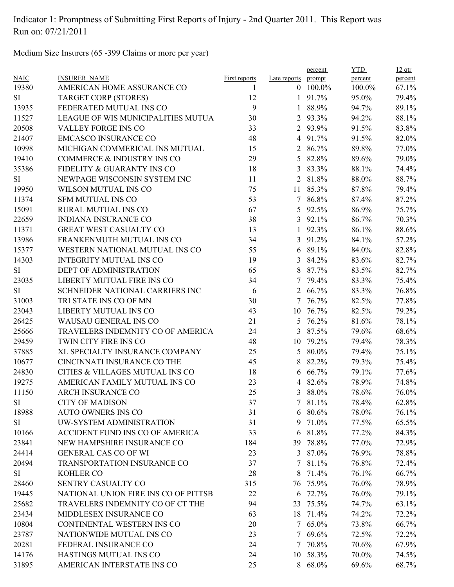Medium Size Insurers (65 -399 Claims or more per year)

|             |                                        |                      |                 | percent    | <b>YTD</b> | $12$ qtr |
|-------------|----------------------------------------|----------------------|-----------------|------------|------------|----------|
| <b>NAIC</b> | <b>INSURER NAME</b>                    | <b>First reports</b> | Late reports    | prompt     | percent    | percent  |
| 19380       | AMERICAN HOME ASSURANCE CO             | 1                    |                 | $0$ 100.0% | 100.0%     | 67.1%    |
| SI          | <b>TARGET CORP (STORES)</b>            | 12                   | $\mathbf{1}$    | 91.7%      | 95.0%      | 79.4%    |
| 13935       | FEDERATED MUTUAL INS CO                | 9                    | 1               | 88.9%      | 94.7%      | 89.1%    |
| 11527       | LEAGUE OF WIS MUNICIPALITIES MUTUA     | 30                   | 2               | 93.3%      | 94.2%      | 88.1%    |
| 20508       | VALLEY FORGE INS CO                    | 33                   |                 | 2 93.9%    | 91.5%      | 83.8%    |
| 21407       | <b>EMCASCO INSURANCE CO</b>            | 48                   | $\overline{4}$  | 91.7%      | 91.5%      | 82.0%    |
| 10998       | MICHIGAN COMMERICAL INS MUTUAL         | 15                   | 2               | 86.7%      | 89.8%      | 77.0%    |
| 19410       | COMMERCE & INDUSTRY INS CO             | 29                   | 5               | 82.8%      | 89.6%      | 79.0%    |
| 35386       | FIDELITY & GUARANTY INS CO             | 18                   | 3               | 83.3%      | 88.1%      | 74.4%    |
| SI          | NEWPAGE WISCONSIN SYSTEM INC           | 11                   | 2               | 81.8%      | 88.0%      | 88.7%    |
| 19950       | WILSON MUTUAL INS CO                   | 75                   | 11              | 85.3%      | 87.8%      | 79.4%    |
| 11374       | <b>SFM MUTUAL INS CO</b>               | 53                   | $7\phantom{.0}$ | 86.8%      | 87.4%      | 87.2%    |
| 15091       | RURAL MUTUAL INS CO                    | 67                   | 5               | 92.5%      | 86.9%      | 75.7%    |
| 22659       | <b>INDIANA INSURANCE CO</b>            | 38                   | 3               | 92.1%      | 86.7%      | 70.3%    |
| 11371       | GREAT WEST CASUALTY CO                 | 13                   | 1               | 92.3%      | 86.1%      | 88.6%    |
| 13986       | FRANKENMUTH MUTUAL INS CO              | 34                   | 3               | 91.2%      | 84.1%      | 57.2%    |
| 15377       | WESTERN NATIONAL MUTUAL INS CO         | 55                   | 6               | 89.1%      | 84.0%      | 82.8%    |
| 14303       | <b>INTEGRITY MUTUAL INS CO</b>         | 19                   | 3               | 84.2%      | 83.6%      | 82.7%    |
| SI          | DEPT OF ADMINISTRATION                 | 65                   | 8               | 87.7%      | 83.5%      | 82.7%    |
| 23035       | LIBERTY MUTUAL FIRE INS CO             | 34                   | 7               | 79.4%      | 83.3%      | 75.4%    |
| <b>SI</b>   | SCHNEIDER NATIONAL CARRIERS INC        | 6                    | 2               | 66.7%      | 83.3%      | 76.8%    |
| 31003       | TRI STATE INS CO OF MN                 | 30                   | 7               | 76.7%      | 82.5%      | 77.8%    |
| 23043       | LIBERTY MUTUAL INS CO                  | 43                   | 10              | 76.7%      | 82.5%      | 79.2%    |
| 26425       | WAUSAU GENERAL INS CO                  | 21                   | 5               | 76.2%      | 81.6%      | 78.1%    |
| 25666       | TRAVELERS INDEMNITY CO OF AMERICA      | 24                   | 3               | 87.5%      | 79.6%      | 68.6%    |
| 29459       | TWIN CITY FIRE INS CO                  | 48                   | 10              | 79.2%      | 79.4%      | 78.3%    |
| 37885       | XL SPECIALTY INSURANCE COMPANY         | 25                   | 5               | 80.0%      | 79.4%      | 75.1%    |
| 10677       | CINCINNATI INSURANCE CO THE            | 45                   | 8               | 82.2%      | 79.3%      | 75.4%    |
| 24830       | CITIES & VILLAGES MUTUAL INS CO        | 18                   | 6               | 66.7%      | 79.1%      | 77.6%    |
| 19275       | AMERICAN FAMILY MUTUAL INS CO          | 23                   | 4               | 82.6%      | 78.9%      | 74.8%    |
| 11150       | <b>ARCH INSURANCE CO</b>               | 25                   | 3               | 88.0%      | 78.6%      | 76.0%    |
| SI          | <b>CITY OF MADISON</b>                 | 37                   | $7\phantom{.0}$ | 81.1%      | 78.4%      | 62.8%    |
| 18988       | <b>AUTO OWNERS INS CO</b>              | 31                   |                 | 6 80.6%    | 78.0%      | 76.1%    |
| SI          | UW-SYSTEM ADMINISTRATION               | 31                   | 9.              | 71.0%      | 77.5%      | 65.5%    |
| 10166       | <b>ACCIDENT FUND INS CO OF AMERICA</b> | 33                   |                 | 6 81.8%    | 77.2%      | 84.3%    |
| 23841       | NEW HAMPSHIRE INSURANCE CO             | 184                  | 39              | 78.8%      | 77.0%      | 72.9%    |
| 24414       | <b>GENERAL CAS CO OF WI</b>            | 23                   |                 | 3 87.0%    | 76.9%      | 78.8%    |
| 20494       | TRANSPORTATION INSURANCE CO            | 37                   | 7               | 81.1%      | 76.8%      | 72.4%    |
| SI          | KOHLER CO                              | 28                   | 8               | 71.4%      | 76.1%      | 66.7%    |
| 28460       | SENTRY CASUALTY CO                     | 315                  | 76              | 75.9%      | 76.0%      | 78.9%    |
| 19445       | NATIONAL UNION FIRE INS CO OF PITTSB   | 22                   |                 | 6 72.7%    | 76.0%      | 79.1%    |
| 25682       | TRAVELERS INDEMNITY CO OF CT THE       | 94                   |                 | 23 75.5%   | 74.7%      | 63.1%    |
| 23434       | MIDDLESEX INSURANCE CO                 | 63                   |                 | 18 71.4%   | 74.2%      | 72.2%    |
| 10804       | CONTINENTAL WESTERN INS CO             | 20                   |                 | 7 65.0%    | 73.8%      | 66.7%    |
| 23787       | NATIONWIDE MUTUAL INS CO               | 23                   |                 | 7 69.6%    | 72.5%      | 72.2%    |
| 20281       | FEDERAL INSURANCE CO                   | 24                   |                 | 7 70.8%    | 70.6%      | 67.9%    |
| 14176       | HASTINGS MUTUAL INS CO                 | 24                   | 10              | 58.3%      | 70.0%      | 74.5%    |
| 31895       | AMERICAN INTERSTATE INS CO             | 25                   |                 | 8 68.0%    | 69.6%      | 68.7%    |
|             |                                        |                      |                 |            |            |          |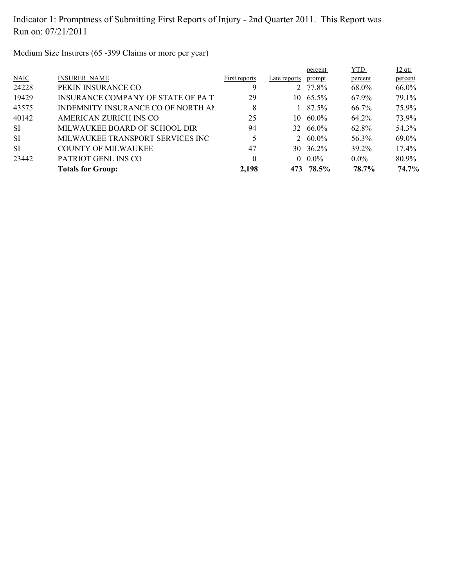Medium Size Insurers (65 -399 Claims or more per year)

|                                    |               |              | percent | <b>YTD</b>                                                                                  | $12$ qtr |
|------------------------------------|---------------|--------------|---------|---------------------------------------------------------------------------------------------|----------|
| <b>INSURER NAME</b>                | First reports | Late reports | prompt  | percent                                                                                     | percent  |
| PEKIN INSURANCE CO                 | 9             |              |         | 68.0%                                                                                       | 66.0%    |
| INSURANCE COMPANY OF STATE OF PA T | 29            | 10.          |         | 67.9%                                                                                       | 79.1%    |
| INDEMNITY INSURANCE CO OF NORTH AI | 8             |              |         | 66.7%                                                                                       | 75.9%    |
| AMERICAN ZURICH INS CO             | 25            | 10.          | 60.0%   | 64.2%                                                                                       | 73.9%    |
| MILWAUKEE BOARD OF SCHOOL DIR      | 94            |              |         | 62.8%                                                                                       | 54.3%    |
| MILWAUKEE TRANSPORT SERVICES INC   |               |              |         | 56.3%                                                                                       | 69.0%    |
| <b>COUNTY OF MILWAUKEE</b>         | 47            |              |         | 39.2%                                                                                       | 17.4%    |
| PATRIOT GENL INS CO                | $\theta$      |              |         | $0.0\%$                                                                                     | 80.9%    |
| <b>Totals for Group:</b>           | 2,198         |              |         | 78.7%                                                                                       | 74.7%    |
|                                    |               |              |         | 2 77.8%<br>65.5%<br>$187.5\%$<br>32 66.0%<br>2 $60.0\%$<br>30 36.2%<br>$0.0\%$<br>473 78.5% |          |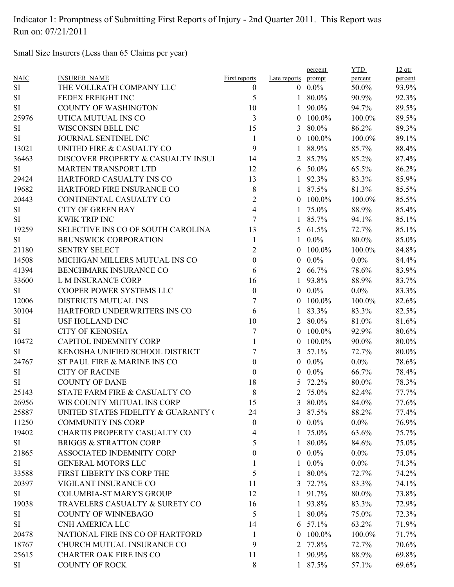Small Size Insurers (Less than 65 Claims per year)

|             |                                     |                          |                | percent         | YTD     | $12$ qtr |
|-------------|-------------------------------------|--------------------------|----------------|-----------------|---------|----------|
| <b>NAIC</b> | <b>INSURER NAME</b>                 | First reports            | Late reports   | prompt          | percent | percent  |
| SI          | THE VOLLRATH COMPANY LLC            | $\bf{0}$                 |                | $0.0\%$         | 50.0%   | 93.9%    |
| SI          | FEDEX FREIGHT INC                   | 5                        |                | $1\ 80.0\%$     | 90.9%   | 92.3%    |
| SI          | <b>COUNTY OF WASHINGTON</b>         | 10                       | $\mathbf{1}$   | 90.0%           | 94.7%   | 89.5%    |
| 25976       | UTICA MUTUAL INS CO                 | 3                        | $\overline{0}$ | 100.0%          | 100.0%  | 89.5%    |
| SI          | WISCONSIN BELL INC                  | 15                       | 3              | 80.0%           | 86.2%   | 89.3%    |
| SI          | JOURNAL SENTINEL INC                | $\mathbf{1}$             |                | $0\quad100.0\%$ | 100.0%  | 89.1%    |
| 13021       | UNITED FIRE & CASUALTY CO           | 9                        | $\mathbf{1}$   | 88.9%           | 85.7%   | 88.4%    |
| 36463       | DISCOVER PROPERTY & CASUALTY INSUI  | 14                       |                | 2 85.7%         | 85.2%   | 87.4%    |
| SI          | MARTEN TRANSPORT LTD                | 12                       |                | $6\quad 50.0\%$ | 65.5%   | 86.2%    |
| 29424       | HARTFORD CASUALTY INS CO            | 13                       |                | 1 92.3%         | 83.3%   | 85.9%    |
| 19682       | HARTFORD FIRE INSURANCE CO          | 8                        |                | 1 87.5%         | 81.3%   | 85.5%    |
| 20443       | CONTINENTAL CASUALTY CO             | $\mathfrak{2}$           | $\theta$       | 100.0%          | 100.0%  | 85.5%    |
| SI          | <b>CITY OF GREEN BAY</b>            | $\overline{\mathcal{A}}$ |                | $1\quad 75.0\%$ | 88.9%   | 85.4%    |
| SI          | <b>KWIK TRIP INC</b>                | $\overline{7}$           |                | 1 85.7%         | 94.1%   | 85.1%    |
| 19259       | SELECTIVE INS CO OF SOUTH CAROLINA  | 13                       |                | 5 $61.5\%$      | 72.7%   | 85.1%    |
| SI          | BRUNSWICK CORPORATION               | 1                        |                | $1 \quad 0.0\%$ | 80.0%   | 85.0%    |
| 21180       | <b>SENTRY SELECT</b>                | $\overline{c}$           | $\theta$       | 100.0%          | 100.0%  | 84.8%    |
| 14508       | MICHIGAN MILLERS MUTUAL INS CO      | $\boldsymbol{0}$         | $\theta$       | $0.0\%$         | $0.0\%$ | 84.4%    |
| 41394       | BENCHMARK INSURANCE CO              | 6                        | 2              | 66.7%           | 78.6%   | 83.9%    |
| 33600       | L M INSURANCE CORP                  | 16                       | $\mathbf{1}$   | 93.8%           | 88.9%   | 83.7%    |
| SI          | COOPER POWER SYSTEMS LLC            | $\boldsymbol{0}$         | $\overline{0}$ | $0.0\%$         | $0.0\%$ | 83.3%    |
| 12006       | DISTRICTS MUTUAL INS                | 7                        |                | $0$ 100.0%      | 100.0%  | 82.6%    |
| 30104       | HARTFORD UNDERWRITERS INS CO        | 6                        |                | $183.3\%$       | 83.3%   | 82.5%    |
| SI          | <b>USF HOLLAND INC</b>              | 10                       |                | 2 80.0%         | 81.0%   | 81.6%    |
| SI          | <b>CITY OF KENOSHA</b>              | 7                        | $\theta$       | 100.0%          | 92.9%   | 80.6%    |
| 10472       | <b>CAPITOL INDEMNITY CORP</b>       | 1                        | $\theta$       | 100.0%          | 90.0%   | 80.0%    |
| SI          | KENOSHA UNIFIED SCHOOL DISTRICT     | 7                        |                | 3 $57.1\%$      | 72.7%   | 80.0%    |
| 24767       | ST PAUL FIRE & MARINE INS CO        | $\mathbf{0}$             | $\overline{0}$ | $0.0\%$         | $0.0\%$ | 78.6%    |
| SI          | <b>CITY OF RACINE</b>               | $\theta$                 | $\overline{0}$ | $0.0\%$         | 66.7%   | 78.4%    |
| SI          | <b>COUNTY OF DANE</b>               | 18                       | 5              | 72.2%           | 80.0%   | 78.3%    |
| 25143       | STATE FARM FIRE & CASUALTY CO       | 8                        |                | 2 75.0%         | 82.4%   | 77.7%    |
| 26956       | WIS COUNTY MUTUAL INS CORP          | 15                       |                | 3 80.0%         | 84.0%   | 77.6%    |
| 25887       | UNITED STATES FIDELITY & GUARANTY ( | 24                       |                | 3 87.5%         | 88.2%   | 77.4%    |
| 11250       | <b>COMMUNITY INS CORP</b>           | $\boldsymbol{0}$         |                | $0\quad 0.0\%$  | $0.0\%$ | 76.9%    |
| 19402       | CHARTIS PROPERTY CASUALTY CO        | 4                        | 1              | 75.0%           | 63.6%   | 75.7%    |
| SI          | <b>BRIGGS &amp; STRATTON CORP</b>   | 5                        | 1              | 80.0%           | 84.6%   | 75.0%    |
| 21865       | ASSOCIATED INDEMNITY CORP           | $\theta$                 | $\overline{0}$ | $0.0\%$         | $0.0\%$ | 75.0%    |
| SI          | <b>GENERAL MOTORS LLC</b>           |                          | $\mathbf{1}$   | $0.0\%$         | $0.0\%$ | 74.3%    |
| 33588       | FIRST LIBERTY INS CORP THE          | 5                        | 1              | 80.0%           | 72.7%   | 74.2%    |
| 20397       | VIGILANT INSURANCE CO               | 11                       |                | 3 72.7%         | 83.3%   | 74.1%    |
| SI          | <b>COLUMBIA-ST MARY'S GROUP</b>     | 12                       |                | 1 91.7%         | 80.0%   | 73.8%    |
| 19038       | TRAVELERS CASUALTY & SURETY CO      | 16                       | 1              | 93.8%           | 83.3%   | 72.9%    |
| SI          | <b>COUNTY OF WINNEBAGO</b>          | 5                        | $\mathbf{I}$   | 80.0%           | 75.0%   | 72.3%    |
| SI          | CNH AMERICA LLC                     | 14                       |                | 6 $57.1\%$      | 63.2%   | 71.9%    |
| 20478       | NATIONAL FIRE INS CO OF HARTFORD    | 1                        |                | $0$ 100.0%      | 100.0%  | 71.7%    |
| 18767       | CHURCH MUTUAL INSURANCE CO          | 9                        |                | 2 77.8%         | 72.7%   | 70.6%    |
| 25615       | <b>CHARTER OAK FIRE INS CO</b>      | 11                       |                | 1 90.9%         | 88.9%   | 69.8%    |
| SI          | <b>COUNTY OF ROCK</b>               | 8                        |                | 1 87.5%         | 57.1%   | 69.6%    |
|             |                                     |                          |                |                 |         |          |